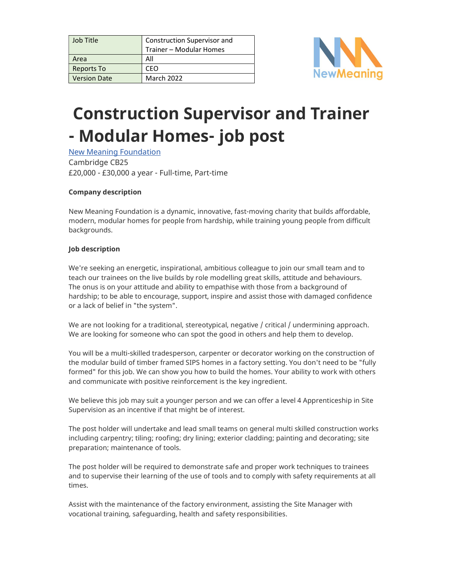| Job Title           | Construction Supervisor and |
|---------------------|-----------------------------|
|                     | Trainer - Modular Homes     |
| Area                | All                         |
| <b>Reports To</b>   | CEO                         |
| <b>Version Date</b> | <b>March 2022</b>           |



# Construction Supervisor and Trainer - Modular Homes- job post

New Meaning Foundation Cambridge CB25 £20,000 - £30,000 a year - Full-time, Part-time

### Company description

New Meaning Foundation is a dynamic, innovative, fast-moving charity that builds affordable, modern, modular homes for people from hardship, while training young people from difficult backgrounds.

#### Job description

We're seeking an energetic, inspirational, ambitious colleague to join our small team and to teach our trainees on the live builds by role modelling great skills, attitude and behaviours. The onus is on your attitude and ability to empathise with those from a background of hardship; to be able to encourage, support, inspire and assist those with damaged confidence or a lack of belief in "the system".

We are not looking for a traditional, stereotypical, negative / critical / undermining approach. We are looking for someone who can spot the good in others and help them to develop.

You will be a multi-skilled tradesperson, carpenter or decorator working on the construction of the modular build of timber framed SIPS homes in a factory setting. You don't need to be "fully formed" for this job. We can show you how to build the homes. Your ability to work with others and communicate with positive reinforcement is the key ingredient.

We believe this job may suit a younger person and we can offer a level 4 Apprenticeship in Site Supervision as an incentive if that might be of interest.

The post holder will undertake and lead small teams on general multi skilled construction works including carpentry; tiling; roofing; dry lining; exterior cladding; painting and decorating; site preparation; maintenance of tools.

The post holder will be required to demonstrate safe and proper work techniques to trainees and to supervise their learning of the use of tools and to comply with safety requirements at all times.

Assist with the maintenance of the factory environment, assisting the Site Manager with vocational training, safeguarding, health and safety responsibilities.